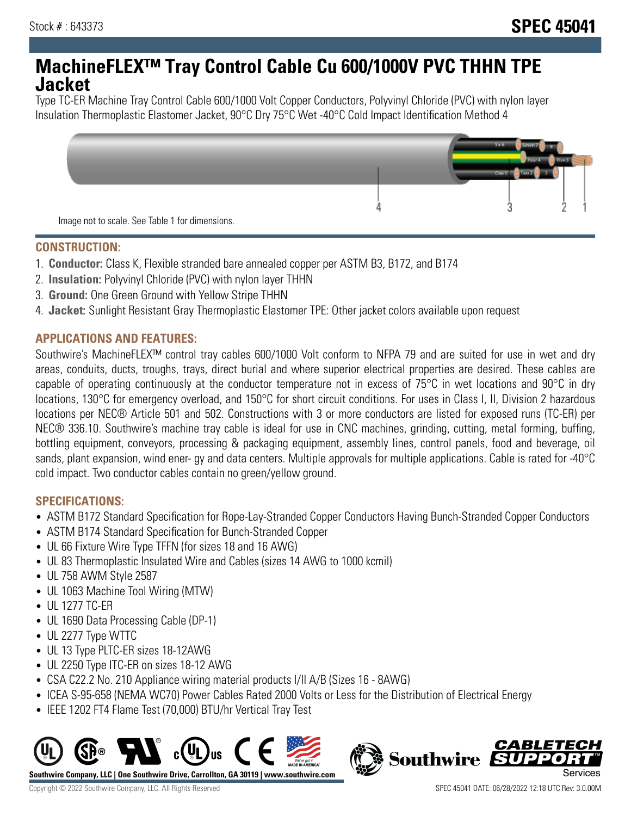# **MachineFLEX™ Tray Control Cable Cu 600/1000V PVC THHN TPE Jacket**

Type TC-ER Machine Tray Control Cable 600/1000 Volt Copper Conductors, Polyvinyl Chloride (PVC) with nylon layer Insulation Thermoplastic Elastomer Jacket, 90°C Dry 75°C Wet -40°C Cold Impact Identification Method 4



#### **CONSTRUCTION:**

- 1. **Conductor:** Class K, Flexible stranded bare annealed copper per ASTM B3, B172, and B174
- 2. **Insulation:** Polyvinyl Chloride (PVC) with nylon layer THHN
- 3. **Ground:** One Green Ground with Yellow Stripe THHN
- 4. **Jacket:** Sunlight Resistant Gray Thermoplastic Elastomer TPE: Other jacket colors available upon request

## **APPLICATIONS AND FEATURES:**

Southwire's MachineFLEX™ control tray cables 600/1000 Volt conform to NFPA 79 and are suited for use in wet and dry areas, conduits, ducts, troughs, trays, direct burial and where superior electrical properties are desired. These cables are capable of operating continuously at the conductor temperature not in excess of 75°C in wet locations and 90°C in dry locations, 130°C for emergency overload, and 150°C for short circuit conditions. For uses in Class I, II, Division 2 hazardous locations per NEC® Article 501 and 502. Constructions with 3 or more conductors are listed for exposed runs (TC-ER) per NEC® 336.10. Southwire's machine tray cable is ideal for use in CNC machines, grinding, cutting, metal forming, buffing, bottling equipment, conveyors, processing & packaging equipment, assembly lines, control panels, food and beverage, oil sands, plant expansion, wind ener- gy and data centers. Multiple approvals for multiple applications. Cable is rated for -40°C cold impact. Two conductor cables contain no green/yellow ground.

#### **SPECIFICATIONS:**

- ASTM B172 Standard Specification for Rope-Lay-Stranded Copper Conductors Having Bunch-Stranded Copper Conductors
- ASTM B174 Standard Specification for Bunch-Stranded Copper
- UL 66 Fixture Wire Type TFFN (for sizes 18 and 16 AWG)
- UL 83 Thermoplastic Insulated Wire and Cables (sizes 14 AWG to 1000 kcmil)
- UL 758 AWM Style 2587
- UL 1063 Machine Tool Wiring (MTW)
- UL 1277 TC-ER
- UL 1690 Data Processing Cable (DP-1)
- UL 2277 Type WTTC
- UL 13 Type PLTC-ER sizes 18-12AWG
- UL 2250 Type ITC-ER on sizes 18-12 AWG
- CSA C22.2 No. 210 Appliance wiring material products I/II A/B (Sizes 16 8AWG)
- ICEA S-95-658 (NEMA WC70) Power Cables Rated 2000 Volts or Less for the Distribution of Electrical Energy
- IEEE 1202 FT4 Flame Test (70,000) BTU/hr Vertical Tray Test



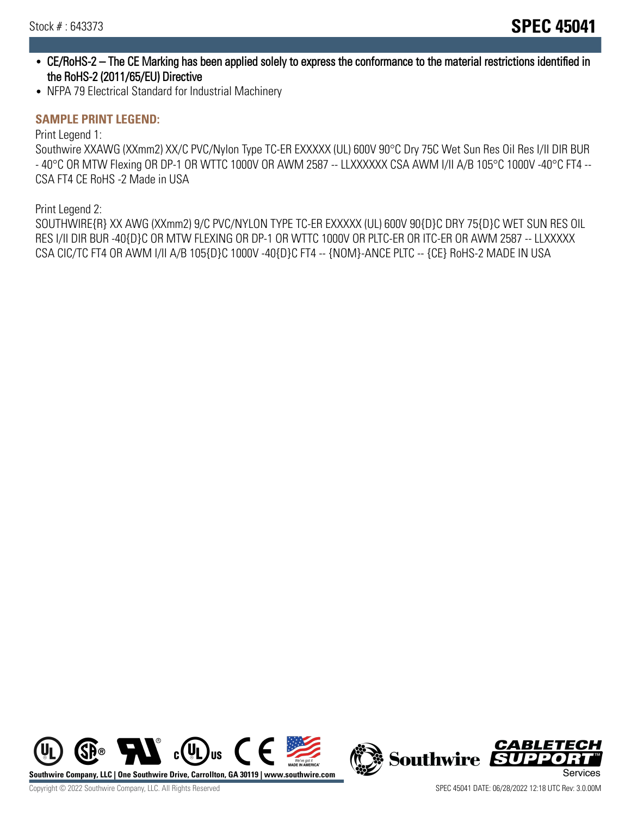- CE/RoHS-2 The CE Marking has been applied solely to express the conformance to the material restrictions identified in the RoHS-2 (2011/65/EU) Directive
- NFPA 79 Electrical Standard for Industrial Machinery

# **SAMPLE PRINT LEGEND:**

Print Legend 1:

Southwire XXAWG (XXmm2) XX/C PVC/Nylon Type TC-ER EXXXXX (UL) 600V 90°C Dry 75C Wet Sun Res Oil Res I/II DIR BUR - 40°C OR MTW Flexing OR DP-1 OR WTTC 1000V OR AWM 2587 -- LLXXXXXX CSA AWM I/II A/B 105°C 1000V -40°C FT4 -- CSA FT4 CE RoHS -2 Made in USA

Print Legend 2:

SOUTHWIRE{R} XX AWG (XXmm2) 9/C PVC/NYLON TYPE TC-ER EXXXXX (UL) 600V 90{D}C DRY 75{D}C WET SUN RES OIL RES I/II DIR BUR -40{D}C OR MTW FLEXING OR DP-1 OR WTTC 1000V OR PLTC-ER OR ITC-ER OR AWM 2587 -- LLXXXXX CSA CIC/TC FT4 OR AWM I/II A/B 105{D}C 1000V -40{D}C FT4 -- {NOM}-ANCE PLTC -- {CE} RoHS-2 MADE IN USA



CABLETECH **Southwire** п. FЛ